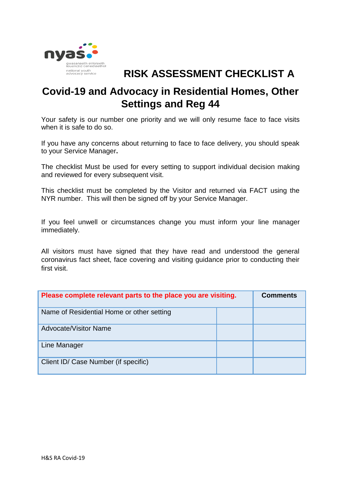

## **RISK ASSESSMENT CHECKLIST A**

## **Covid-19 and Advocacy in Residential Homes, Other Settings and Reg 44**

Your safety is our number one priority and we will only resume face to face visits when it is safe to do so.

If you have any concerns about returning to face to face delivery, you should speak to your Service Manager**.** 

The checklist Must be used for every setting to support individual decision making and reviewed for every subsequent visit.

This checklist must be completed by the Visitor and returned via FACT using the NYR number. This will then be signed off by your Service Manager.

If you feel unwell or circumstances change you must inform your line manager immediately.

All visitors must have signed that they have read and understood the general coronavirus fact sheet, face covering and visiting guidance prior to conducting their first visit.

| Please complete relevant parts to the place you are visiting. |  | <b>Comments</b> |
|---------------------------------------------------------------|--|-----------------|
| Name of Residential Home or other setting                     |  |                 |
| Advocate/Visitor Name                                         |  |                 |
| Line Manager                                                  |  |                 |
| Client ID/ Case Number (if specific)                          |  |                 |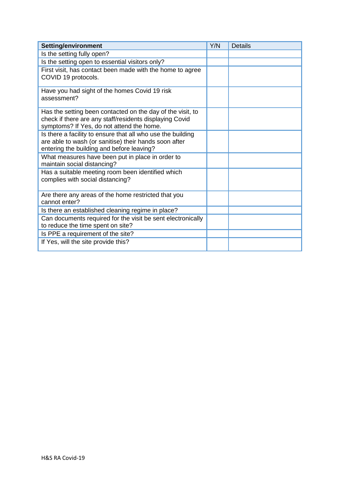| Setting/environment                                                                                                                                                | Y/N | <b>Details</b> |
|--------------------------------------------------------------------------------------------------------------------------------------------------------------------|-----|----------------|
| Is the setting fully open?                                                                                                                                         |     |                |
| Is the setting open to essential visitors only?                                                                                                                    |     |                |
| First visit, has contact been made with the home to agree<br>COVID 19 protocols.                                                                                   |     |                |
| Have you had sight of the homes Covid 19 risk<br>assessment?                                                                                                       |     |                |
| Has the setting been contacted on the day of the visit, to<br>check if there are any staff/residents displaying Covid<br>symptoms? If Yes, do not attend the home. |     |                |
| Is there a facility to ensure that all who use the building<br>are able to wash (or sanitise) their hands soon after<br>entering the building and before leaving?  |     |                |
| What measures have been put in place in order to<br>maintain social distancing?                                                                                    |     |                |
| Has a suitable meeting room been identified which<br>complies with social distancing?                                                                              |     |                |
| Are there any areas of the home restricted that you<br>cannot enter?                                                                                               |     |                |
| Is there an established cleaning regime in place?                                                                                                                  |     |                |
| Can documents required for the visit be sent electronically<br>to reduce the time spent on site?                                                                   |     |                |
| Is PPE a requirement of the site?                                                                                                                                  |     |                |
| If Yes, will the site provide this?                                                                                                                                |     |                |